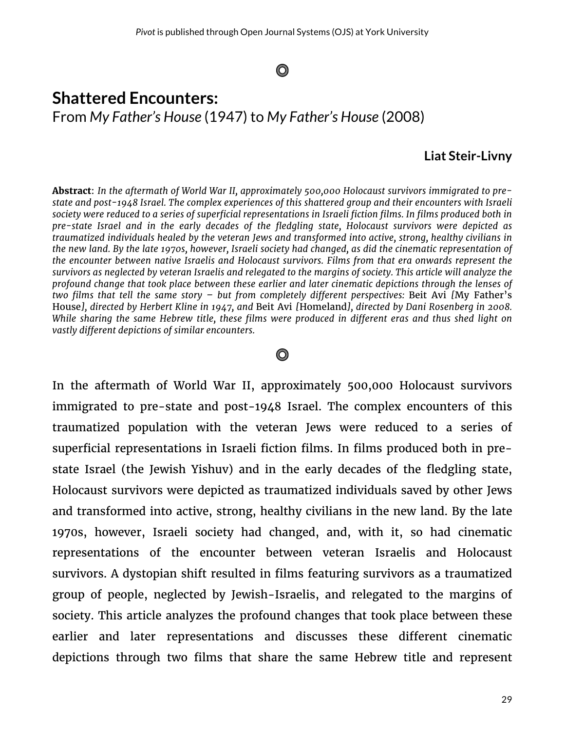## O

# **Shattered Encounters:** From *My Father's House* (1947) to *My Father's House* (2008)

#### **Liat Steir-Livny**

**Abstract**: *In the aftermath of World War II, approximately 500,000 Holocaust survivors immigrated to prestate and post-1948 Israel. The complex experiences of this shattered group and their encounters with Israeli society were reduced to a series of superficial representations in Israeli fiction films. In films produced both in pre-state Israel and in the early decades of the fledgling state, Holocaust survivors were depicted as traumatized individuals healed by the veteran Jews and transformed into active, strong, healthy civilians in the new land. By the late 1970s, however, Israeli society had changed, as did the cinematic representation of the encounter between native Israelis and Holocaust survivors. Films from that era onwards represent the survivors as neglected by veteran Israelis and relegated to the margins of society. This article will analyze the profound change that took place between these earlier and later cinematic depictions through the lenses of two films that tell the same story – but from completely different perspectives:* Beit Avi *[*My Father's House*], directed by Herbert Kline in 1947, and* Beit Avi *[*Homeland*], directed by Dani Rosenberg in 2008. While sharing the same Hebrew title, these films were produced in different eras and thus shed light on vastly different depictions of similar encounters.*

## O

In the aftermath of World War II, approximately 500,000 Holocaust survivors immigrated to pre-state and post-1948 Israel. The complex encounters of this traumatized population with the veteran Jews were reduced to a series of superficial representations in Israeli fiction films. In films produced both in prestate Israel (the Jewish Yishuv) and in the early decades of the fledgling state, Holocaust survivors were depicted as traumatized individuals saved by other Jews and transformed into active, strong, healthy civilians in the new land. By the late 1970s, however, Israeli society had changed, and, with it, so had cinematic representations of the encounter between veteran Israelis and Holocaust survivors. A dystopian shift resulted in films featuring survivors as a traumatized group of people, neglected by Jewish-Israelis, and relegated to the margins of society. This article analyzes the profound changes that took place between these earlier and later representations and discusses these different cinematic depictions through two films that share the same Hebrew title and represent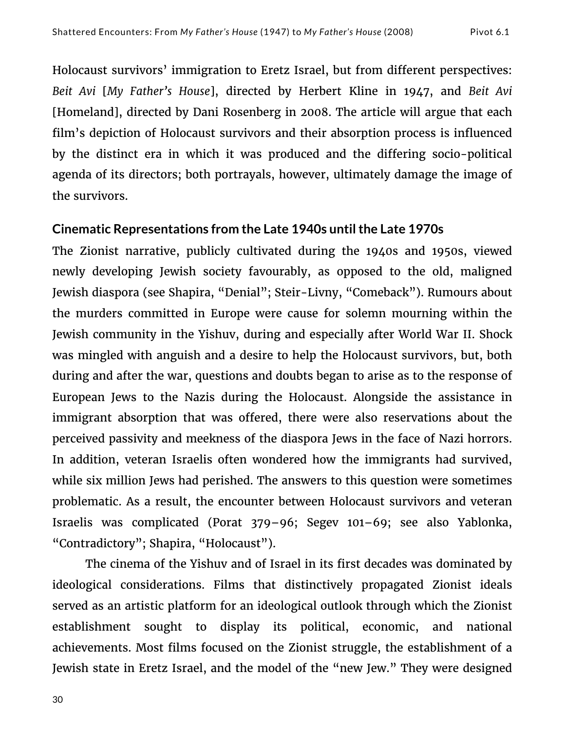Holocaust survivors' immigration to Eretz Israel, but from different perspectives: *Beit Avi* [*My Father's House*], directed by Herbert Kline in 1947, and *Beit Avi*  [Homeland], directed by Dani Rosenberg in 2008. The article will argue that each film's depiction of Holocaust survivors and their absorption process is influenced by the distinct era in which it was produced and the differing socio-political agenda of its directors; both portrayals, however, ultimately damage the image of the survivors.

## **Cinematic Representations from the Late 1940s until the Late 1970s**

The Zionist narrative, publicly cultivated during the 1940s and 1950s, viewed newly developing Jewish society favourably, as opposed to the old, maligned Jewish diaspora (see Shapira, "Denial"; Steir-Livny, "Comeback"). Rumours about the murders committed in Europe were cause for solemn mourning within the Jewish community in the Yishuv, during and especially after World War II. Shock was mingled with anguish and a desire to help the Holocaust survivors, but, both during and after the war, questions and doubts began to arise as to the response of European Jews to the Nazis during the Holocaust. Alongside the assistance in immigrant absorption that was offered, there were also reservations about the perceived passivity and meekness of the diaspora Jews in the face of Nazi horrors. In addition, veteran Israelis often wondered how the immigrants had survived, while six million Jews had perished. The answers to this question were sometimes problematic. As a result, the encounter between Holocaust survivors and veteran Israelis was complicated (Porat 379–96; Segev 101–69; see also Yablonka, "Contradictory"; Shapira, "Holocaust").

The cinema of the Yishuv and of Israel in its first decades was dominated by ideological considerations. Films that distinctively propagated Zionist ideals served as an artistic platform for an ideological outlook through which the Zionist establishment sought to display its political, economic, and national achievements. Most films focused on the Zionist struggle, the establishment of a Jewish state in Eretz Israel, and the model of the "new Jew." They were designed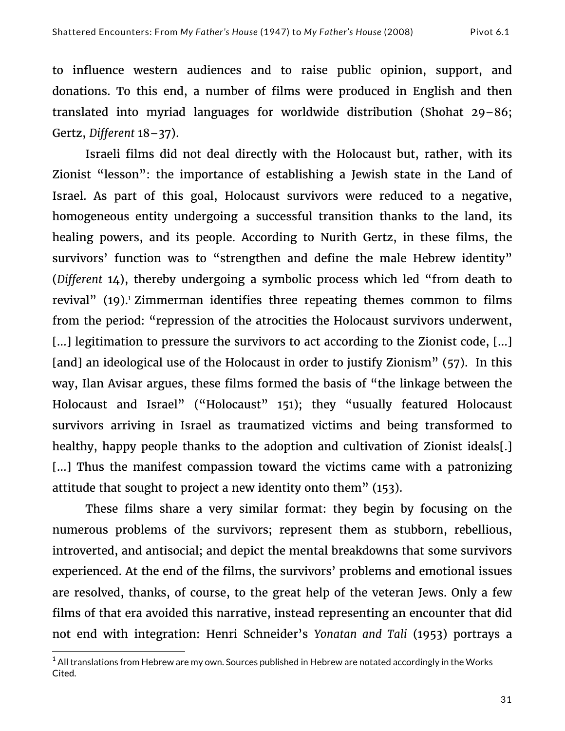to influence western audiences and to raise public opinion, support, and donations. To this end, a number of films were produced in English and then translated into myriad languages for worldwide distribution (Shohat 29–86; Gertz, *Different* 18–37).

Israeli films did not deal directly with the Holocaust but, rather, with its Zionist "lesson": the importance of establishing a Jewish state in the Land of Israel. As part of this goal, Holocaust survivors were reduced to a negative, homogeneous entity undergoing a successful transition thanks to the land, its healing powers, and its people. According to Nurith Gertz, in these films, the survivors' function was to "strengthen and define the male Hebrew identity" (*Different* 14), thereby undergoing a symbolic process which led "from death to revival" (19).<sup>1</sup> Zimmerman identifies three repeating themes common to films from the period: "repression of the atrocities the Holocaust survivors underwent, […] legitimation to pressure the survivors to act according to the Zionist code, […] [and] an ideological use of the Holocaust in order to justify Zionism" (57). In this way, Ilan Avisar argues, these films formed the basis of "the linkage between the Holocaust and Israel" ("Holocaust" 151); they "usually featured Holocaust survivors arriving in Israel as traumatized victims and being transformed to healthy, happy people thanks to the adoption and cultivation of Zionist ideals[.] [...] Thus the manifest compassion toward the victims came with a patronizing attitude that sought to project a new identity onto them" (153).

These films share a very similar format: they begin by focusing on the numerous problems of the survivors; represent them as stubborn, rebellious, introverted, and antisocial; and depict the mental breakdowns that some survivors experienced. At the end of the films, the survivors' problems and emotional issues are resolved, thanks, of course, to the great help of the veteran Jews. Only a few films of that era avoided this narrative, instead representing an encounter that did not end with integration: Henri Schneider's *Yonatan and Tali* (1953) portrays a

 

 $^1$  All translations from Hebrew are my own. Sources published in Hebrew are notated accordingly in the Works Cited.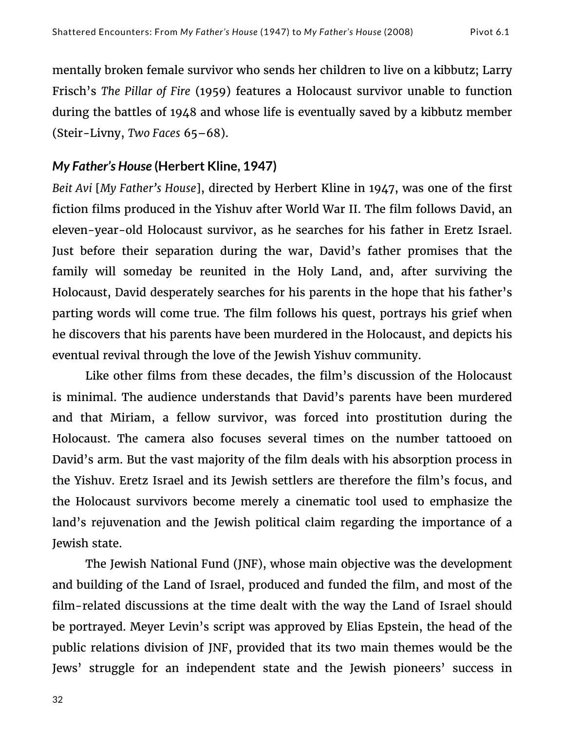mentally broken female survivor who sends her children to live on a kibbutz; Larry Frisch's *The Pillar of Fire* (1959) features a Holocaust survivor unable to function during the battles of 1948 and whose life is eventually saved by a kibbutz member (Steir-Livny, *Two Faces* 65–68).

## *My Father's House* **(Herbert Kline, 1947)**

*Beit Avi* [*My Father's House*], directed by Herbert Kline in 1947, was one of the first fiction films produced in the Yishuv after World War II. The film follows David, an eleven-year-old Holocaust survivor, as he searches for his father in Eretz Israel. Just before their separation during the war, David's father promises that the family will someday be reunited in the Holy Land, and, after surviving the Holocaust, David desperately searches for his parents in the hope that his father's parting words will come true. The film follows his quest, portrays his grief when he discovers that his parents have been murdered in the Holocaust, and depicts his eventual revival through the love of the Jewish Yishuv community.

Like other films from these decades, the film's discussion of the Holocaust is minimal. The audience understands that David's parents have been murdered and that Miriam, a fellow survivor, was forced into prostitution during the Holocaust. The camera also focuses several times on the number tattooed on David's arm. But the vast majority of the film deals with his absorption process in the Yishuv. Eretz Israel and its Jewish settlers are therefore the film's focus, and the Holocaust survivors become merely a cinematic tool used to emphasize the land's rejuvenation and the Jewish political claim regarding the importance of a Jewish state.

The Jewish National Fund (JNF), whose main objective was the development and building of the Land of Israel, produced and funded the film, and most of the film-related discussions at the time dealt with the way the Land of Israel should be portrayed. Meyer Levin's script was approved by Elias Epstein, the head of the public relations division of JNF, provided that its two main themes would be the Jews' struggle for an independent state and the Jewish pioneers' success in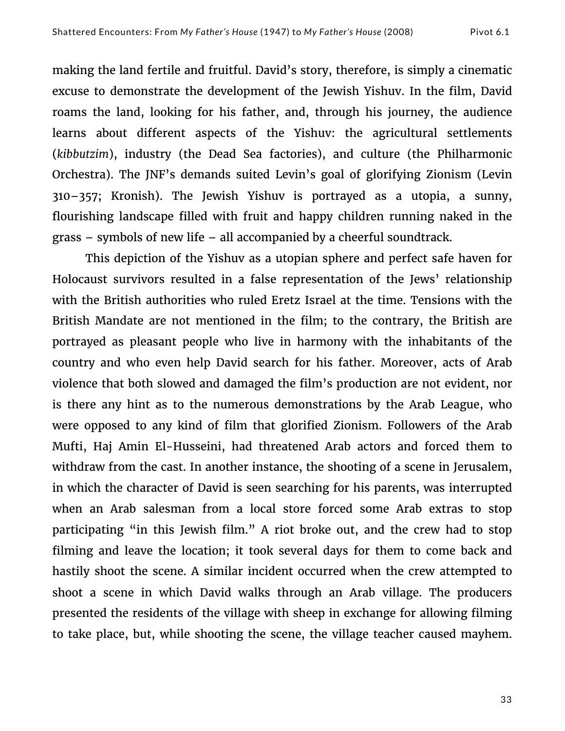making the land fertile and fruitful. David's story, therefore, is simply a cinematic excuse to demonstrate the development of the Jewish Yishuv. In the film, David roams the land, looking for his father, and, through his journey, the audience learns about different aspects of the Yishuv: the agricultural settlements (*kibbutzim*), industry (the Dead Sea factories), and culture (the Philharmonic Orchestra). The JNF's demands suited Levin's goal of glorifying Zionism (Levin 310–357; Kronish). The Jewish Yishuv is portrayed as a utopia, a sunny, flourishing landscape filled with fruit and happy children running naked in the grass – symbols of new life – all accompanied by a cheerful soundtrack.

This depiction of the Yishuv as a utopian sphere and perfect safe haven for Holocaust survivors resulted in a false representation of the Jews' relationship with the British authorities who ruled Eretz Israel at the time. Tensions with the British Mandate are not mentioned in the film; to the contrary, the British are portrayed as pleasant people who live in harmony with the inhabitants of the country and who even help David search for his father. Moreover, acts of Arab violence that both slowed and damaged the film's production are not evident, nor is there any hint as to the numerous demonstrations by the Arab League, who were opposed to any kind of film that glorified Zionism. Followers of the Arab Mufti, Haj Amin El-Husseini, had threatened Arab actors and forced them to withdraw from the cast. In another instance, the shooting of a scene in Jerusalem, in which the character of David is seen searching for his parents, was interrupted when an Arab salesman from a local store forced some Arab extras to stop participating "in this Jewish film." A riot broke out, and the crew had to stop filming and leave the location; it took several days for them to come back and hastily shoot the scene. A similar incident occurred when the crew attempted to shoot a scene in which David walks through an Arab village. The producers presented the residents of the village with sheep in exchange for allowing filming to take place, but, while shooting the scene, the village teacher caused mayhem.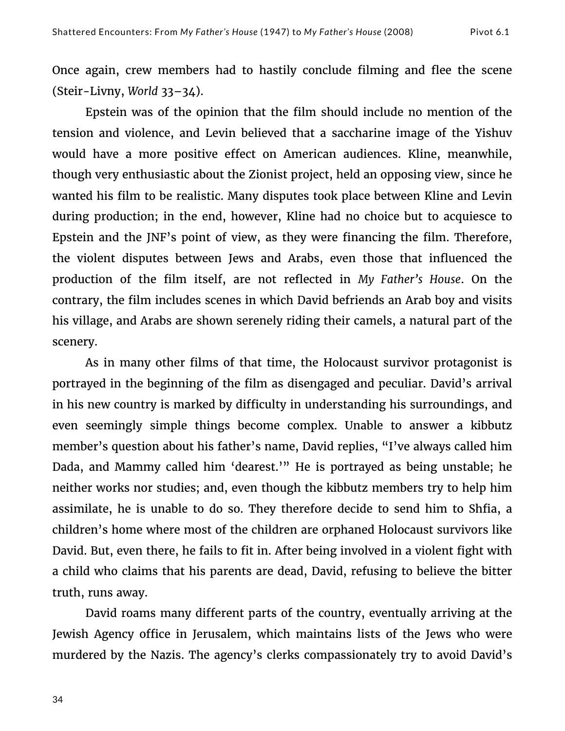Once again, crew members had to hastily conclude filming and flee the scene (Steir-Livny, *World* 33–34).

Epstein was of the opinion that the film should include no mention of the tension and violence, and Levin believed that a saccharine image of the Yishuv would have a more positive effect on American audiences. Kline, meanwhile, though very enthusiastic about the Zionist project, held an opposing view, since he wanted his film to be realistic. Many disputes took place between Kline and Levin during production; in the end, however, Kline had no choice but to acquiesce to Epstein and the JNF's point of view, as they were financing the film. Therefore, the violent disputes between Jews and Arabs, even those that influenced the production of the film itself, are not reflected in *My Father's House*. On the contrary, the film includes scenes in which David befriends an Arab boy and visits his village, and Arabs are shown serenely riding their camels, a natural part of the scenery.

As in many other films of that time, the Holocaust survivor protagonist is portrayed in the beginning of the film as disengaged and peculiar. David's arrival in his new country is marked by difficulty in understanding his surroundings, and even seemingly simple things become complex. Unable to answer a kibbutz member's question about his father's name, David replies, "I've always called him Dada, and Mammy called him 'dearest.'" He is portrayed as being unstable; he neither works nor studies; and, even though the kibbutz members try to help him assimilate, he is unable to do so. They therefore decide to send him to Shfia, a children's home where most of the children are orphaned Holocaust survivors like David. But, even there, he fails to fit in. After being involved in a violent fight with a child who claims that his parents are dead, David, refusing to believe the bitter truth, runs away.

David roams many different parts of the country, eventually arriving at the Jewish Agency office in Jerusalem, which maintains lists of the Jews who were murdered by the Nazis. The agency's clerks compassionately try to avoid David's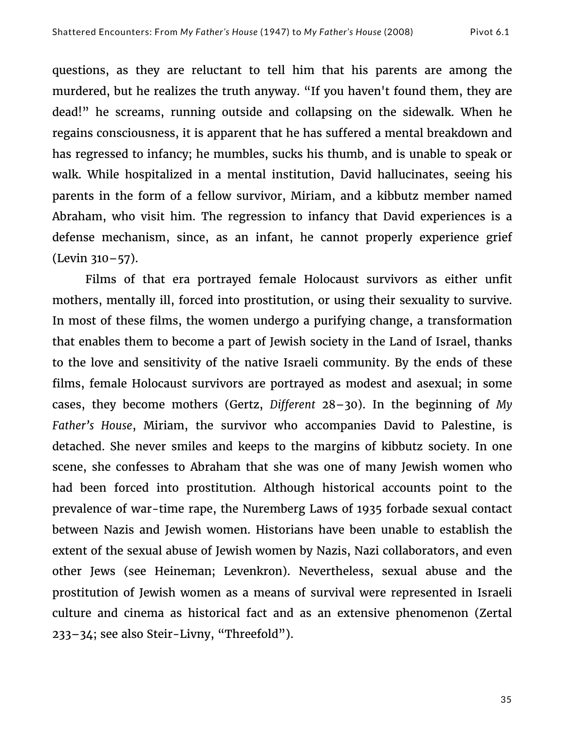questions, as they are reluctant to tell him that his parents are among the murdered, but he realizes the truth anyway. "If you haven't found them, they are dead!" he screams, running outside and collapsing on the sidewalk. When he regains consciousness, it is apparent that he has suffered a mental breakdown and has regressed to infancy; he mumbles, sucks his thumb, and is unable to speak or walk. While hospitalized in a mental institution, David hallucinates, seeing his parents in the form of a fellow survivor, Miriam, and a kibbutz member named Abraham, who visit him. The regression to infancy that David experiences is a defense mechanism, since, as an infant, he cannot properly experience grief (Levin 310–57).

Films of that era portrayed female Holocaust survivors as either unfit mothers, mentally ill, forced into prostitution, or using their sexuality to survive. In most of these films, the women undergo a purifying change, a transformation that enables them to become a part of Jewish society in the Land of Israel, thanks to the love and sensitivity of the native Israeli community. By the ends of these films, female Holocaust survivors are portrayed as modest and asexual; in some cases, they become mothers (Gertz, *Different* 28–30). In the beginning of *My Father's House*, Miriam, the survivor who accompanies David to Palestine, is detached. She never smiles and keeps to the margins of kibbutz society. In one scene, she confesses to Abraham that she was one of many Jewish women who had been forced into prostitution. Although historical accounts point to the prevalence of war-time rape, the Nuremberg Laws of 1935 forbade sexual contact between Nazis and Jewish women. Historians have been unable to establish the extent of the sexual abuse of Jewish women by Nazis, Nazi collaborators, and even other Jews (see Heineman; Levenkron). Nevertheless, sexual abuse and the prostitution of Jewish women as a means of survival were represented in Israeli culture and cinema as historical fact and as an extensive phenomenon (Zertal 233–34; see also Steir-Livny, "Threefold").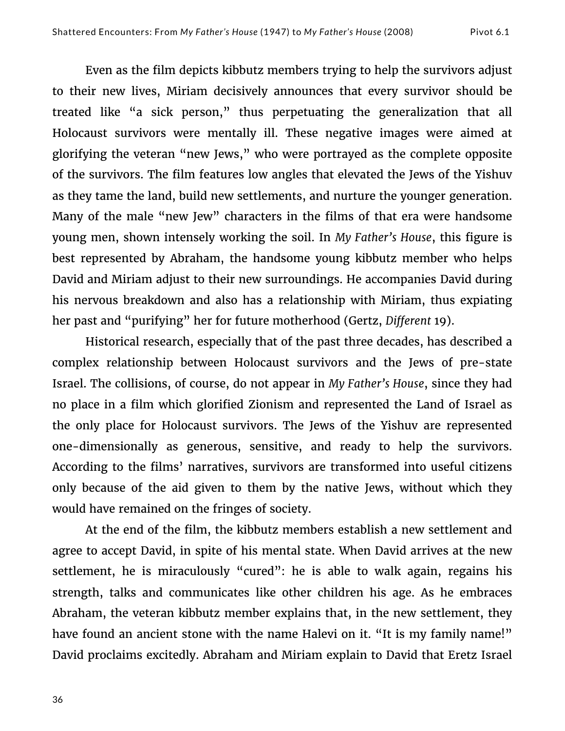Even as the film depicts kibbutz members trying to help the survivors adjust to their new lives, Miriam decisively announces that every survivor should be treated like "a sick person," thus perpetuating the generalization that all Holocaust survivors were mentally ill. These negative images were aimed at glorifying the veteran "new Jews," who were portrayed as the complete opposite of the survivors. The film features low angles that elevated the Jews of the Yishuv as they tame the land, build new settlements, and nurture the younger generation. Many of the male "new Jew" characters in the films of that era were handsome young men, shown intensely working the soil. In *My Father's House*, this figure is best represented by Abraham, the handsome young kibbutz member who helps David and Miriam adjust to their new surroundings. He accompanies David during his nervous breakdown and also has a relationship with Miriam, thus expiating her past and "purifying" her for future motherhood (Gertz, *Different* 19).

Historical research, especially that of the past three decades, has described a complex relationship between Holocaust survivors and the Jews of pre-state Israel. The collisions, of course, do not appear in *My Father's House*, since they had no place in a film which glorified Zionism and represented the Land of Israel as the only place for Holocaust survivors. The Jews of the Yishuv are represented one-dimensionally as generous, sensitive, and ready to help the survivors. According to the films' narratives, survivors are transformed into useful citizens only because of the aid given to them by the native Jews, without which they would have remained on the fringes of society.

At the end of the film, the kibbutz members establish a new settlement and agree to accept David, in spite of his mental state. When David arrives at the new settlement, he is miraculously "cured": he is able to walk again, regains his strength, talks and communicates like other children his age. As he embraces Abraham, the veteran kibbutz member explains that, in the new settlement, they have found an ancient stone with the name Halevi on it. "It is my family name!" David proclaims excitedly. Abraham and Miriam explain to David that Eretz Israel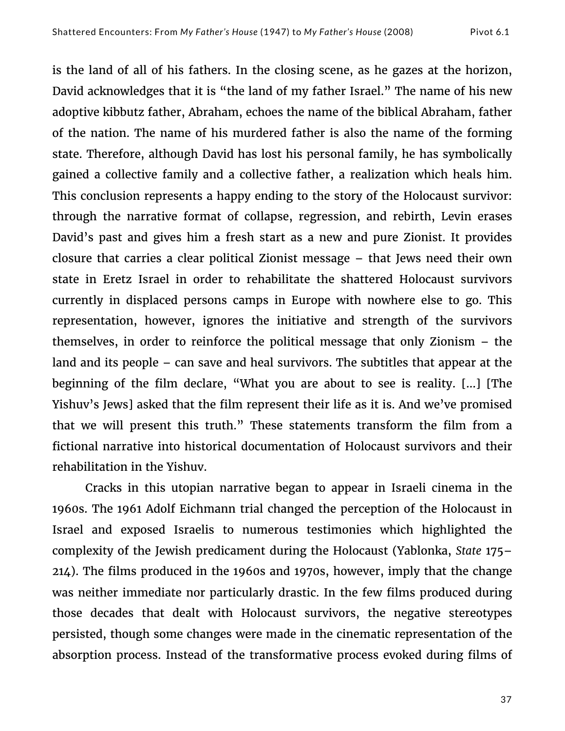is the land of all of his fathers. In the closing scene, as he gazes at the horizon, David acknowledges that it is "the land of my father Israel." The name of his new adoptive kibbutz father, Abraham, echoes the name of the biblical Abraham, father of the nation. The name of his murdered father is also the name of the forming state. Therefore, although David has lost his personal family, he has symbolically gained a collective family and a collective father, a realization which heals him. This conclusion represents a happy ending to the story of the Holocaust survivor: through the narrative format of collapse, regression, and rebirth, Levin erases David's past and gives him a fresh start as a new and pure Zionist. It provides closure that carries a clear political Zionist message – that Jews need their own state in Eretz Israel in order to rehabilitate the shattered Holocaust survivors currently in displaced persons camps in Europe with nowhere else to go. This representation, however, ignores the initiative and strength of the survivors themselves, in order to reinforce the political message that only Zionism – the land and its people – can save and heal survivors. The subtitles that appear at the beginning of the film declare, "What you are about to see is reality. […] [The Yishuv's Jews] asked that the film represent their life as it is. And we've promised that we will present this truth." These statements transform the film from a fictional narrative into historical documentation of Holocaust survivors and their rehabilitation in the Yishuv.

Cracks in this utopian narrative began to appear in Israeli cinema in the 1960s. The 1961 Adolf Eichmann trial changed the perception of the Holocaust in Israel and exposed Israelis to numerous testimonies which highlighted the complexity of the Jewish predicament during the Holocaust (Yablonka, *State* 175– 214). The films produced in the 1960s and 1970s, however, imply that the change was neither immediate nor particularly drastic. In the few films produced during those decades that dealt with Holocaust survivors, the negative stereotypes persisted, though some changes were made in the cinematic representation of the absorption process. Instead of the transformative process evoked during films of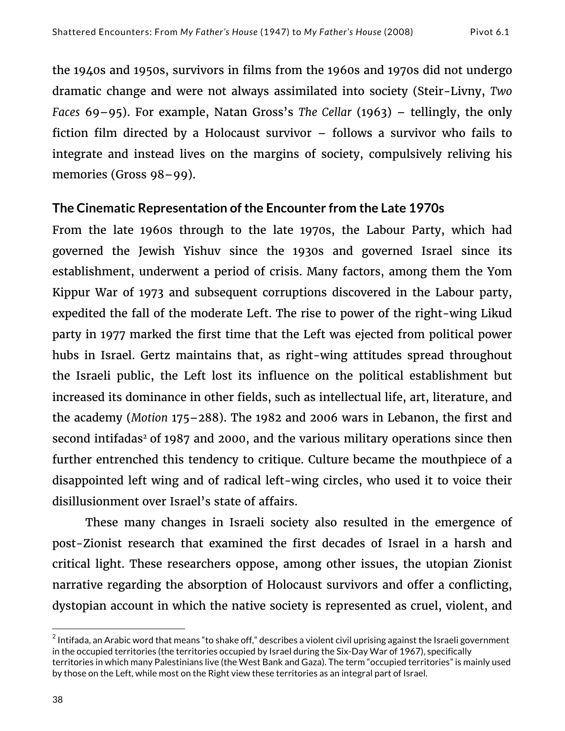the 1940s and 1950s, survivors in films from the 1960s and 1970s did not undergo dramatic change and were not always assimilated into society (Steir-Livny, *Two Faces* 69–95). For example, Natan Gross's *The Cellar* (1963) – tellingly, the only fiction film directed by a Holocaust survivor – follows a survivor who fails to integrate and instead lives on the margins of society, compulsively reliving his memories (Gross 98–99).

## **The Cinematic Representation of the Encounter from the Late 1970s**

From the late 1960s through to the late 1970s, the Labour Party, which had governed the Jewish Yishuv since the 1930s and governed Israel since its establishment, underwent a period of crisis. Many factors, among them the Yom Kippur War of 1973 and subsequent corruptions discovered in the Labour party, expedited the fall of the moderate Left. The rise to power of the right-wing Likud party in 1977 marked the first time that the Left was ejected from political power hubs in Israel. Gertz maintains that, as right-wing attitudes spread throughout the Israeli public, the Left lost its influence on the political establishment but increased its dominance in other fields, such as intellectual life, art, literature, and the academy (*Motion* 175–288). The 1982 and 2006 wars in Lebanon, the first and second intifadas<sup>2</sup> of 1987 and 2000, and the various military operations since then further entrenched this tendency to critique. Culture became the mouthpiece of a disappointed left wing and of radical left-wing circles, who used it to voice their disillusionment over Israel's state of affairs.

These many changes in Israeli society also resulted in the emergence of post-Zionist research that examined the first decades of Israel in a harsh and critical light. These researchers oppose, among other issues, the utopian Zionist narrative regarding the absorption of Holocaust survivors and offer a conflicting, dystopian account in which the native society is represented as cruel, violent, and

 

 $^2$  Intifada, an Arabic word that means "to shake off," describes a violent civil uprising against the Israeli government in the occupied territories (the territories occupied by Israel during the Six-Day War of 1967), specifically territories in which many Palestinians live (the West Bank and Gaza). The term "occupied territories" is mainly used by those on the Left, while most on the Right view these territories as an integral part of Israel.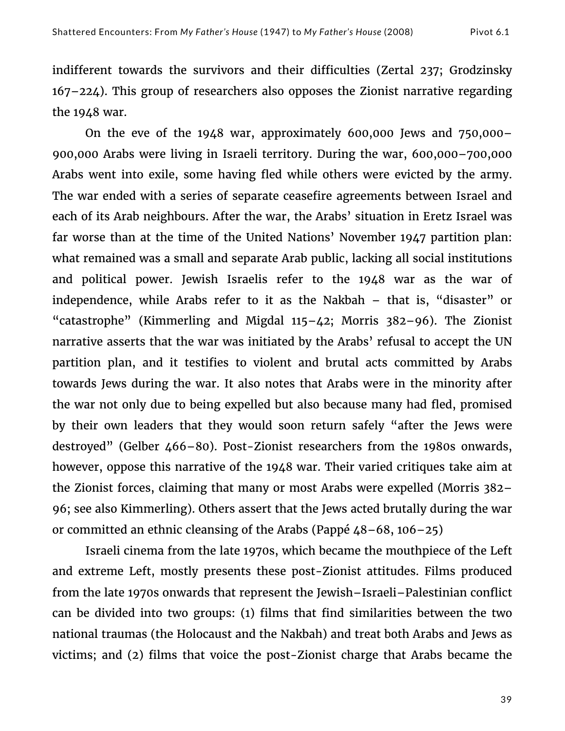indifferent towards the survivors and their difficulties (Zertal 237; Grodzinsky 167–224). This group of researchers also opposes the Zionist narrative regarding the 1948 war.

On the eve of the 1948 war, approximately 600,000 Jews and 750,000– 900,000 Arabs were living in Israeli territory. During the war, 600,000–700,000 Arabs went into exile, some having fled while others were evicted by the army. The war ended with a series of separate ceasefire agreements between Israel and each of its Arab neighbours. After the war, the Arabs' situation in Eretz Israel was far worse than at the time of the United Nations' November 1947 partition plan: what remained was a small and separate Arab public, lacking all social institutions and political power. Jewish Israelis refer to the 1948 war as the war of independence, while Arabs refer to it as the Nakbah – that is, "disaster" or "catastrophe" (Kimmerling and Migdal 115–42; Morris 382–96). The Zionist narrative asserts that the war was initiated by the Arabs' refusal to accept the UN partition plan, and it testifies to violent and brutal acts committed by Arabs towards Jews during the war. It also notes that Arabs were in the minority after the war not only due to being expelled but also because many had fled, promised by their own leaders that they would soon return safely "after the Jews were destroyed" (Gelber 466–80). Post-Zionist researchers from the 1980s onwards, however, oppose this narrative of the 1948 war. Their varied critiques take aim at the Zionist forces, claiming that many or most Arabs were expelled (Morris 382– 96; see also Kimmerling). Others assert that the Jews acted brutally during the war or committed an ethnic cleansing of the Arabs (Pappé  $48-68$ , 106–25)

Israeli cinema from the late 1970s, which became the mouthpiece of the Left and extreme Left, mostly presents these post-Zionist attitudes. Films produced from the late 1970s onwards that represent the Jewish–Israeli–Palestinian conflict can be divided into two groups: (1) films that find similarities between the two national traumas (the Holocaust and the Nakbah) and treat both Arabs and Jews as victims; and (2) films that voice the post-Zionist charge that Arabs became the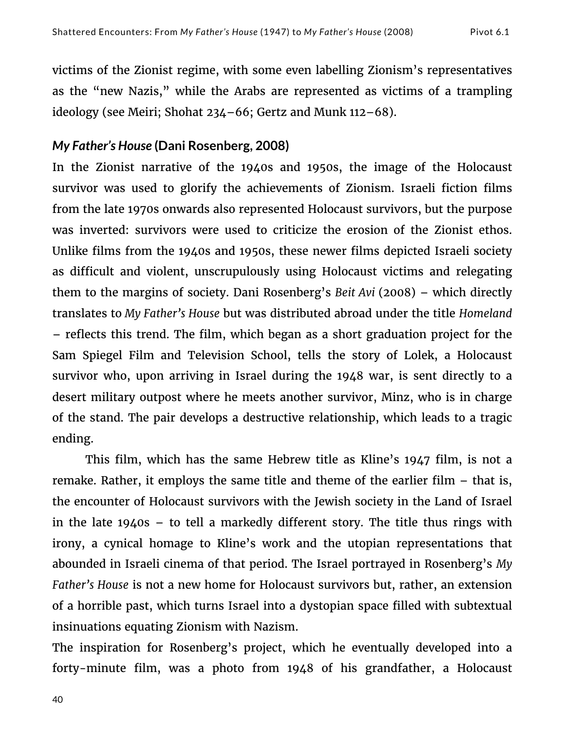victims of the Zionist regime, with some even labelling Zionism's representatives as the "new Nazis," while the Arabs are represented as victims of a trampling ideology (see Meiri; Shohat 234–66; Gertz and Munk 112–68).

#### *My Father's House* **(Dani Rosenberg, 2008)**

In the Zionist narrative of the 1940s and 1950s, the image of the Holocaust survivor was used to glorify the achievements of Zionism. Israeli fiction films from the late 1970s onwards also represented Holocaust survivors, but the purpose was inverted: survivors were used to criticize the erosion of the Zionist ethos. Unlike films from the 1940s and 1950s, these newer films depicted Israeli society as difficult and violent, unscrupulously using Holocaust victims and relegating them to the margins of society. Dani Rosenberg's *Beit Avi* (2008) – which directly translates to *My Father's House* but was distributed abroad under the title *Homeland* – reflects this trend. The film, which began as a short graduation project for the Sam Spiegel Film and Television School, tells the story of Lolek, a Holocaust survivor who, upon arriving in Israel during the 1948 war, is sent directly to a desert military outpost where he meets another survivor, Minz, who is in charge of the stand. The pair develops a destructive relationship, which leads to a tragic ending.

This film, which has the same Hebrew title as Kline's 1947 film, is not a remake. Rather, it employs the same title and theme of the earlier film – that is, the encounter of Holocaust survivors with the Jewish society in the Land of Israel in the late 1940s – to tell a markedly different story. The title thus rings with irony, a cynical homage to Kline's work and the utopian representations that abounded in Israeli cinema of that period. The Israel portrayed in Rosenberg's *My Father's House* is not a new home for Holocaust survivors but, rather, an extension of a horrible past, which turns Israel into a dystopian space filled with subtextual insinuations equating Zionism with Nazism.

The inspiration for Rosenberg's project, which he eventually developed into a forty-minute film, was a photo from 1948 of his grandfather, a Holocaust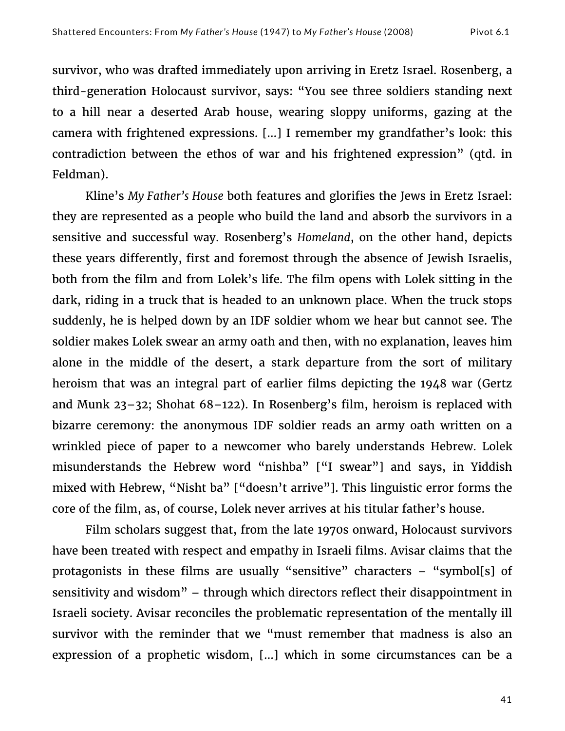survivor, who was drafted immediately upon arriving in Eretz Israel. Rosenberg, a third-generation Holocaust survivor, says: "You see three soldiers standing next to a hill near a deserted Arab house, wearing sloppy uniforms, gazing at the camera with frightened expressions. […] I remember my grandfather's look: this contradiction between the ethos of war and his frightened expression" (qtd. in Feldman).

Kline's *My Father's House* both features and glorifies the Jews in Eretz Israel: they are represented as a people who build the land and absorb the survivors in a sensitive and successful way. Rosenberg's *Homeland*, on the other hand, depicts these years differently, first and foremost through the absence of Jewish Israelis, both from the film and from Lolek's life. The film opens with Lolek sitting in the dark, riding in a truck that is headed to an unknown place. When the truck stops suddenly, he is helped down by an IDF soldier whom we hear but cannot see. The soldier makes Lolek swear an army oath and then, with no explanation, leaves him alone in the middle of the desert, a stark departure from the sort of military heroism that was an integral part of earlier films depicting the 1948 war (Gertz and Munk 23–32; Shohat 68–122). In Rosenberg's film, heroism is replaced with bizarre ceremony: the anonymous IDF soldier reads an army oath written on a wrinkled piece of paper to a newcomer who barely understands Hebrew. Lolek misunderstands the Hebrew word "nishba" ["I swear"] and says, in Yiddish mixed with Hebrew, "Nisht ba" ["doesn't arrive"]. This linguistic error forms the core of the film, as, of course, Lolek never arrives at his titular father's house.

Film scholars suggest that, from the late 1970s onward, Holocaust survivors have been treated with respect and empathy in Israeli films. Avisar claims that the protagonists in these films are usually "sensitive" characters – "symbol[s] of sensitivity and wisdom" – through which directors reflect their disappointment in Israeli society. Avisar reconciles the problematic representation of the mentally ill survivor with the reminder that we "must remember that madness is also an expression of a prophetic wisdom, […] which in some circumstances can be a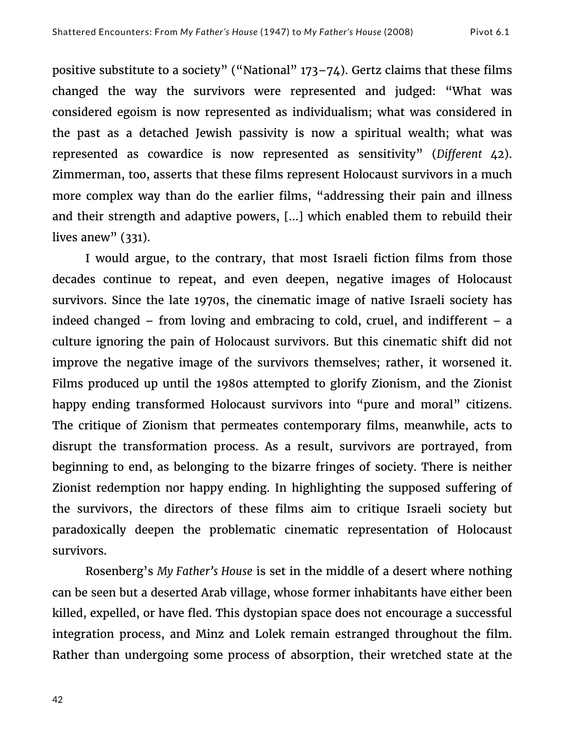positive substitute to a society" ("National" 173–74). Gertz claims that these films changed the way the survivors were represented and judged: "What was considered egoism is now represented as individualism; what was considered in the past as a detached Jewish passivity is now a spiritual wealth; what was represented as cowardice is now represented as sensitivity" (*Different* 42). Zimmerman, too, asserts that these films represent Holocaust survivors in a much more complex way than do the earlier films, "addressing their pain and illness and their strength and adaptive powers, […] which enabled them to rebuild their lives anew"  $(331)$ .

I would argue, to the contrary, that most Israeli fiction films from those decades continue to repeat, and even deepen, negative images of Holocaust survivors. Since the late 1970s, the cinematic image of native Israeli society has indeed changed – from loving and embracing to cold, cruel, and indifferent – a culture ignoring the pain of Holocaust survivors. But this cinematic shift did not improve the negative image of the survivors themselves; rather, it worsened it. Films produced up until the 1980s attempted to glorify Zionism, and the Zionist happy ending transformed Holocaust survivors into "pure and moral" citizens. The critique of Zionism that permeates contemporary films, meanwhile, acts to disrupt the transformation process. As a result, survivors are portrayed, from beginning to end, as belonging to the bizarre fringes of society. There is neither Zionist redemption nor happy ending. In highlighting the supposed suffering of the survivors, the directors of these films aim to critique Israeli society but paradoxically deepen the problematic cinematic representation of Holocaust survivors.

Rosenberg's *My Father's House* is set in the middle of a desert where nothing can be seen but a deserted Arab village, whose former inhabitants have either been killed, expelled, or have fled. This dystopian space does not encourage a successful integration process, and Minz and Lolek remain estranged throughout the film. Rather than undergoing some process of absorption, their wretched state at the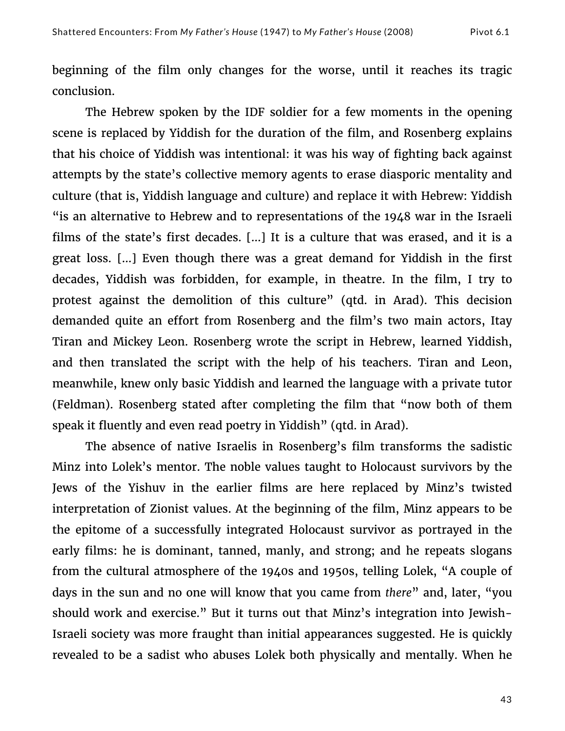beginning of the film only changes for the worse, until it reaches its tragic conclusion.

The Hebrew spoken by the IDF soldier for a few moments in the opening scene is replaced by Yiddish for the duration of the film, and Rosenberg explains that his choice of Yiddish was intentional: it was his way of fighting back against attempts by the state's collective memory agents to erase diasporic mentality and culture (that is, Yiddish language and culture) and replace it with Hebrew: Yiddish "is an alternative to Hebrew and to representations of the 1948 war in the Israeli films of the state's first decades. […] It is a culture that was erased, and it is a great loss. […] Even though there was a great demand for Yiddish in the first decades, Yiddish was forbidden, for example, in theatre. In the film, I try to protest against the demolition of this culture" (qtd. in Arad). This decision demanded quite an effort from Rosenberg and the film's two main actors, Itay Tiran and Mickey Leon. Rosenberg wrote the script in Hebrew, learned Yiddish, and then translated the script with the help of his teachers. Tiran and Leon, meanwhile, knew only basic Yiddish and learned the language with a private tutor (Feldman). Rosenberg stated after completing the film that "now both of them speak it fluently and even read poetry in Yiddish" (qtd. in Arad).

The absence of native Israelis in Rosenberg's film transforms the sadistic Minz into Lolek's mentor. The noble values taught to Holocaust survivors by the Jews of the Yishuv in the earlier films are here replaced by Minz's twisted interpretation of Zionist values. At the beginning of the film, Minz appears to be the epitome of a successfully integrated Holocaust survivor as portrayed in the early films: he is dominant, tanned, manly, and strong; and he repeats slogans from the cultural atmosphere of the 1940s and 1950s, telling Lolek, "A couple of days in the sun and no one will know that you came from *there*" and, later, "you should work and exercise." But it turns out that Minz's integration into Jewish-Israeli society was more fraught than initial appearances suggested. He is quickly revealed to be a sadist who abuses Lolek both physically and mentally. When he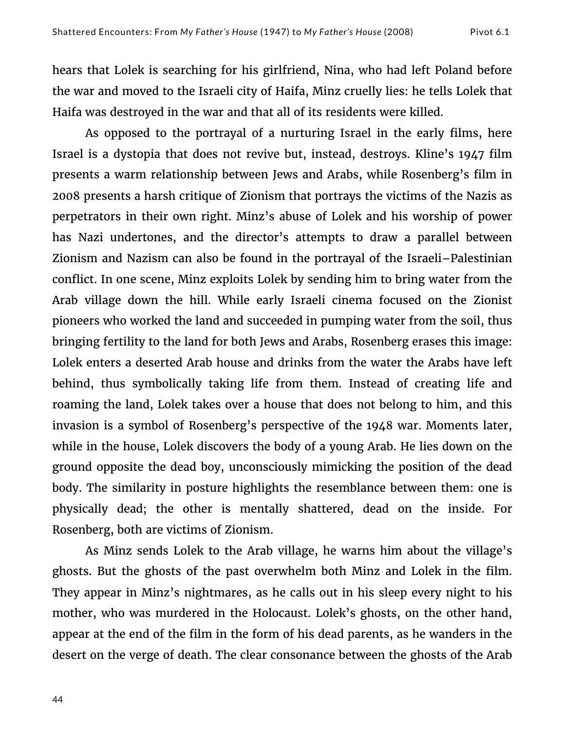hears that Lolek is searching for his girlfriend, Nina, who had left Poland before the war and moved to the Israeli city of Haifa, Minz cruelly lies: he tells Lolek that Haifa was destroyed in the war and that all of its residents were killed.

As opposed to the portrayal of a nurturing Israel in the early films, here Israel is a dystopia that does not revive but, instead, destroys. Kline's 1947 film presents a warm relationship between Jews and Arabs, while Rosenberg's film in 2008 presents a harsh critique of Zionism that portrays the victims of the Nazis as perpetrators in their own right. Minz's abuse of Lolek and his worship of power has Nazi undertones, and the director's attempts to draw a parallel between Zionism and Nazism can also be found in the portrayal of the Israeli–Palestinian conflict. In one scene, Minz exploits Lolek by sending him to bring water from the Arab village down the hill. While early Israeli cinema focused on the Zionist pioneers who worked the land and succeeded in pumping water from the soil, thus bringing fertility to the land for both Jews and Arabs, Rosenberg erases this image: Lolek enters a deserted Arab house and drinks from the water the Arabs have left behind, thus symbolically taking life from them. Instead of creating life and roaming the land, Lolek takes over a house that does not belong to him, and this invasion is a symbol of Rosenberg's perspective of the 1948 war. Moments later, while in the house, Lolek discovers the body of a young Arab. He lies down on the ground opposite the dead boy, unconsciously mimicking the position of the dead body. The similarity in posture highlights the resemblance between them: one is physically dead; the other is mentally shattered, dead on the inside. For Rosenberg, both are victims of Zionism.

As Minz sends Lolek to the Arab village, he warns him about the village's ghosts. But the ghosts of the past overwhelm both Minz and Lolek in the film. They appear in Minz's nightmares, as he calls out in his sleep every night to his mother, who was murdered in the Holocaust. Lolek's ghosts, on the other hand, appear at the end of the film in the form of his dead parents, as he wanders in the desert on the verge of death. The clear consonance between the ghosts of the Arab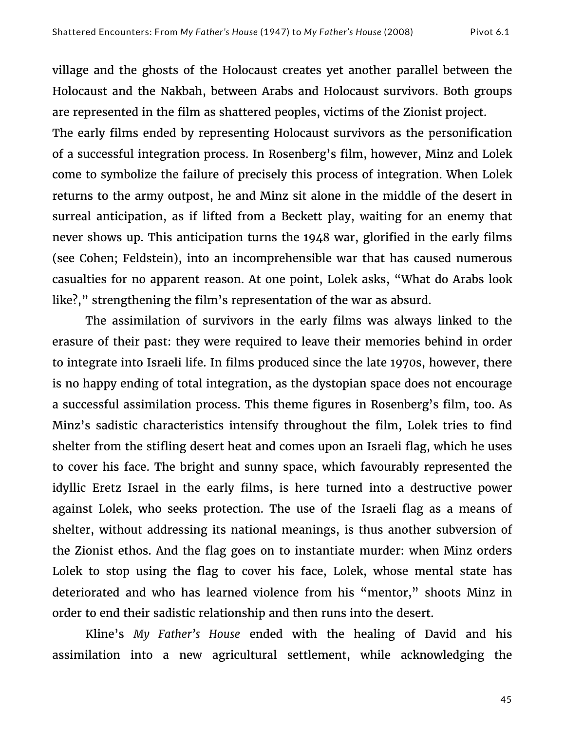village and the ghosts of the Holocaust creates yet another parallel between the Holocaust and the Nakbah, between Arabs and Holocaust survivors. Both groups are represented in the film as shattered peoples, victims of the Zionist project.

The early films ended by representing Holocaust survivors as the personification of a successful integration process. In Rosenberg's film, however, Minz and Lolek come to symbolize the failure of precisely this process of integration. When Lolek returns to the army outpost, he and Minz sit alone in the middle of the desert in surreal anticipation, as if lifted from a Beckett play, waiting for an enemy that never shows up. This anticipation turns the 1948 war, glorified in the early films (see Cohen; Feldstein), into an incomprehensible war that has caused numerous casualties for no apparent reason. At one point, Lolek asks, "What do Arabs look like?," strengthening the film's representation of the war as absurd.

The assimilation of survivors in the early films was always linked to the erasure of their past: they were required to leave their memories behind in order to integrate into Israeli life. In films produced since the late 1970s, however, there is no happy ending of total integration, as the dystopian space does not encourage a successful assimilation process. This theme figures in Rosenberg's film, too. As Minz's sadistic characteristics intensify throughout the film, Lolek tries to find shelter from the stifling desert heat and comes upon an Israeli flag, which he uses to cover his face. The bright and sunny space, which favourably represented the idyllic Eretz Israel in the early films, is here turned into a destructive power against Lolek, who seeks protection. The use of the Israeli flag as a means of shelter, without addressing its national meanings, is thus another subversion of the Zionist ethos. And the flag goes on to instantiate murder: when Minz orders Lolek to stop using the flag to cover his face, Lolek, whose mental state has deteriorated and who has learned violence from his "mentor," shoots Minz in order to end their sadistic relationship and then runs into the desert.

Kline's *My Father's House* ended with the healing of David and his assimilation into a new agricultural settlement, while acknowledging the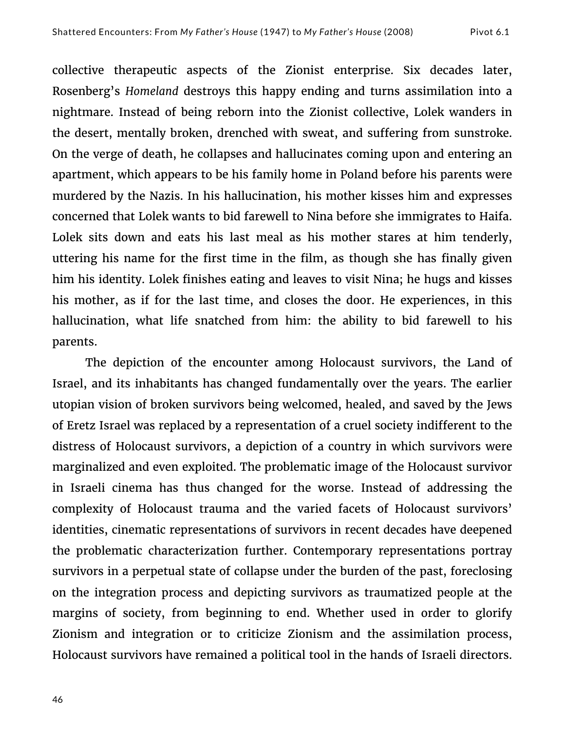collective therapeutic aspects of the Zionist enterprise. Six decades later, Rosenberg's *Homeland* destroys this happy ending and turns assimilation into a nightmare. Instead of being reborn into the Zionist collective, Lolek wanders in the desert, mentally broken, drenched with sweat, and suffering from sunstroke. On the verge of death, he collapses and hallucinates coming upon and entering an apartment, which appears to be his family home in Poland before his parents were murdered by the Nazis. In his hallucination, his mother kisses him and expresses concerned that Lolek wants to bid farewell to Nina before she immigrates to Haifa. Lolek sits down and eats his last meal as his mother stares at him tenderly, uttering his name for the first time in the film, as though she has finally given him his identity. Lolek finishes eating and leaves to visit Nina; he hugs and kisses his mother, as if for the last time, and closes the door. He experiences, in this hallucination, what life snatched from him: the ability to bid farewell to his parents.

The depiction of the encounter among Holocaust survivors, the Land of Israel, and its inhabitants has changed fundamentally over the years. The earlier utopian vision of broken survivors being welcomed, healed, and saved by the Jews of Eretz Israel was replaced by a representation of a cruel society indifferent to the distress of Holocaust survivors, a depiction of a country in which survivors were marginalized and even exploited. The problematic image of the Holocaust survivor in Israeli cinema has thus changed for the worse. Instead of addressing the complexity of Holocaust trauma and the varied facets of Holocaust survivors' identities, cinematic representations of survivors in recent decades have deepened the problematic characterization further. Contemporary representations portray survivors in a perpetual state of collapse under the burden of the past, foreclosing on the integration process and depicting survivors as traumatized people at the margins of society, from beginning to end. Whether used in order to glorify Zionism and integration or to criticize Zionism and the assimilation process, Holocaust survivors have remained a political tool in the hands of Israeli directors.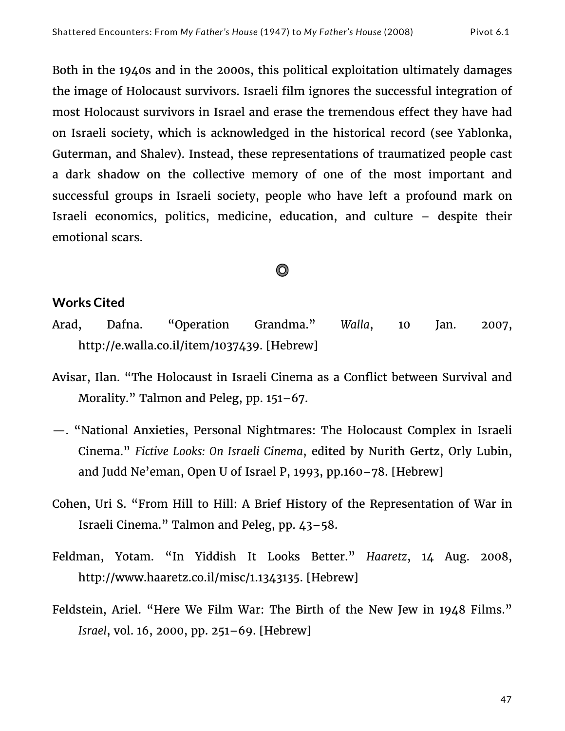Both in the 1940s and in the 2000s, this political exploitation ultimately damages the image of Holocaust survivors. Israeli film ignores the successful integration of most Holocaust survivors in Israel and erase the tremendous effect they have had on Israeli society, which is acknowledged in the historical record (see Yablonka, Guterman, and Shalev). Instead, these representations of traumatized people cast a dark shadow on the collective memory of one of the most important and successful groups in Israeli society, people who have left a profound mark on Israeli economics, politics, medicine, education, and culture – despite their emotional scars.

# O

## **Works Cited**

- Arad, Dafna. "Operation Grandma." *Walla*, 10 Jan. 2007, http://e.walla.co.il/item/1037439. [Hebrew]
- Avisar, Ilan. "The Holocaust in Israeli Cinema as a Conflict between Survival and Morality." Talmon and Peleg, pp. 151–67.
- —. "National Anxieties, Personal Nightmares: The Holocaust Complex in Israeli Cinema." *Fictive Looks: On Israeli Cinema*, edited by Nurith Gertz, Orly Lubin, and Judd Ne'eman, Open U of Israel P, 1993, pp.160–78. [Hebrew]
- Cohen, Uri S. "From Hill to Hill: A Brief History of the Representation of War in Israeli Cinema." Talmon and Peleg, pp. 43–58.
- Feldman, Yotam. "In Yiddish It Looks Better." *Haaretz*, 14 Aug. 2008, http://www.haaretz.co.il/misc/1.1343135. [Hebrew]
- Feldstein, Ariel. "Here We Film War: The Birth of the New Jew in 1948 Films." *Israel*, vol. 16, 2000, pp. 251–69. [Hebrew]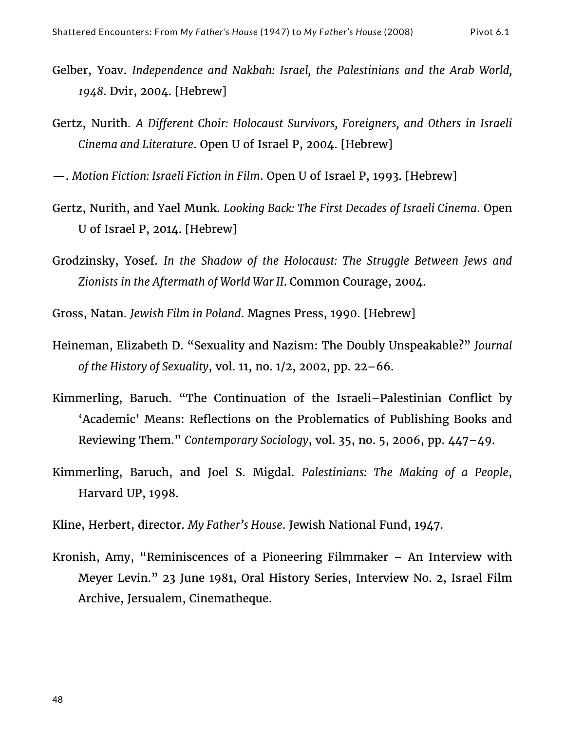- Gelber, Yoav. *Independence and Nakbah: Israel, the Palestinians and the Arab World, 1948*. Dvir, 2004. [Hebrew]
- Gertz, Nurith. *A Different Choir: Holocaust Survivors, Foreigners, and Others in Israeli Cinema and Literature*. Open U of Israel P, 2004. [Hebrew]
- —. *Motion Fiction: Israeli Fiction in Film*. Open U of Israel P, 1993. [Hebrew]
- Gertz, Nurith, and Yael Munk. *Looking Back: The First Decades of Israeli Cinema*. Open U of Israel P, 2014. [Hebrew]
- Grodzinsky, Yosef. *In the Shadow of the Holocaust: The Struggle Between Jews and Zionists in the Aftermath of World War II*. Common Courage, 2004.
- Gross, Natan. *Jewish Film in Poland*. Magnes Press, 1990. [Hebrew]
- Heineman, Elizabeth D. "Sexuality and Nazism: The Doubly Unspeakable?" *Journal of the History of Sexuality*, vol. 11, no. 1/2, 2002, pp. 22–66.
- Kimmerling, Baruch. "The Continuation of the Israeli–Palestinian Conflict by 'Academic' Means: Reflections on the Problematics of Publishing Books and Reviewing Them." *Contemporary Sociology*, vol. 35, no. 5, 2006, pp. 447–49.
- Kimmerling, Baruch, and Joel S. Migdal. *Palestinians: The Making of a People*, Harvard UP, 1998.
- Kline, Herbert, director. *My Father's House*. Jewish National Fund, 1947.
- Kronish, Amy, "Reminiscences of a Pioneering Filmmaker An Interview with Meyer Levin." 23 June 1981, Oral History Series, Interview No. 2, Israel Film Archive, Jersualem, Cinematheque.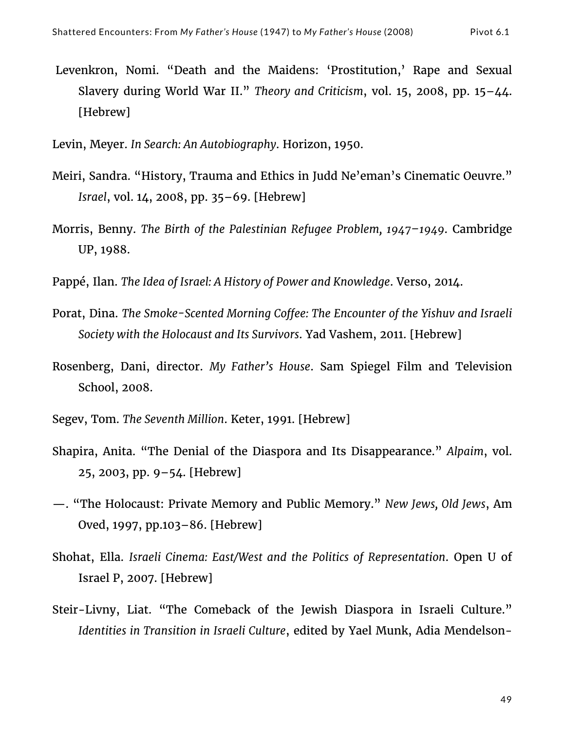Levenkron, Nomi. "Death and the Maidens: 'Prostitution,' Rape and Sexual Slavery during World War II." *Theory and Criticism*, vol. 15, 2008, pp. 15–44. [Hebrew]

Levin, Meyer. *In Search: An Autobiography*. Horizon, 1950.

- Meiri, Sandra. "History, Trauma and Ethics in Judd Ne'eman's Cinematic Oeuvre." *Israel*, vol. 14, 2008, pp. 35–69. [Hebrew]
- Morris, Benny. *The Birth of the Palestinian Refugee Problem, 1947–1949*. Cambridge UP, 1988.
- Pappé, Ilan. *The Idea of Israel: A History of Power and Knowledge*. Verso, 2014.
- Porat, Dina. *The Smoke-Scented Morning Coffee: The Encounter of the Yishuv and Israeli Society with the Holocaust and Its Survivors*. Yad Vashem, 2011. [Hebrew]
- Rosenberg, Dani, director. *My Father's House*. Sam Spiegel Film and Television School, 2008.
- Segev, Tom. *The Seventh Million*. Keter, 1991. [Hebrew]
- Shapira, Anita. "The Denial of the Diaspora and Its Disappearance." *Alpaim*, vol. 25, 2003, pp. 9–54. [Hebrew]
- —. "The Holocaust: Private Memory and Public Memory." *New Jews, Old Jews*, Am Oved, 1997, pp.103–86. [Hebrew]
- Shohat, Ella. *Israeli Cinema: East/West and the Politics of Representation*. Open U of Israel P, 2007. [Hebrew]
- Steir-Livny, Liat. "The Comeback of the Jewish Diaspora in Israeli Culture." *Identities in Transition in Israeli Culture*, edited by Yael Munk, Adia Mendelson-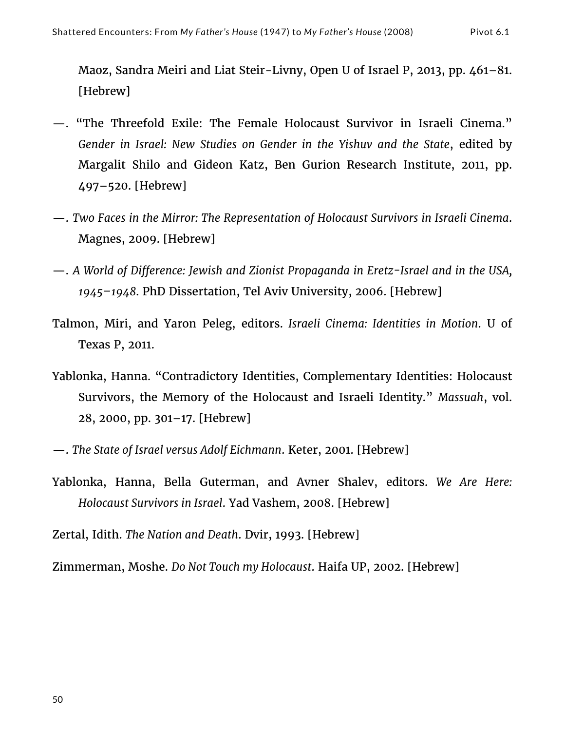Maoz, Sandra Meiri and Liat Steir-Livny, Open U of Israel P, 2013, pp. 461–81. [Hebrew]

- —. "The Threefold Exile: The Female Holocaust Survivor in Israeli Cinema." *Gender in Israel: New Studies on Gender in the Yishuv and the State*, edited by Margalit Shilo and Gideon Katz, Ben Gurion Research Institute, 2011, pp. 497–520. [Hebrew]
- —. *Two Faces in the Mirror: The Representation of Holocaust Survivors in Israeli Cinema*. Magnes, 2009. [Hebrew]
- —. *A World of Difference: Jewish and Zionist Propaganda in Eretz-Israel and in the USA, 1945–1948*. PhD Dissertation, Tel Aviv University, 2006. [Hebrew]
- Talmon, Miri, and Yaron Peleg, editors. *Israeli Cinema: Identities in Motion*. U of Texas P, 2011.
- Yablonka, Hanna. "Contradictory Identities, Complementary Identities: Holocaust Survivors, the Memory of the Holocaust and Israeli Identity." *Massuah*, vol. 28, 2000, pp. 301–17. [Hebrew]
- —. *The State of Israel versus Adolf Eichmann*. Keter, 2001. [Hebrew]
- Yablonka, Hanna, Bella Guterman, and Avner Shalev, editors. *We Are Here: Holocaust Survivors in Israel*. Yad Vashem, 2008. [Hebrew]
- Zertal, Idith. *The Nation and Death*. Dvir, 1993. [Hebrew]

Zimmerman, Moshe. *Do Not Touch my Holocaust*. Haifa UP, 2002. [Hebrew]